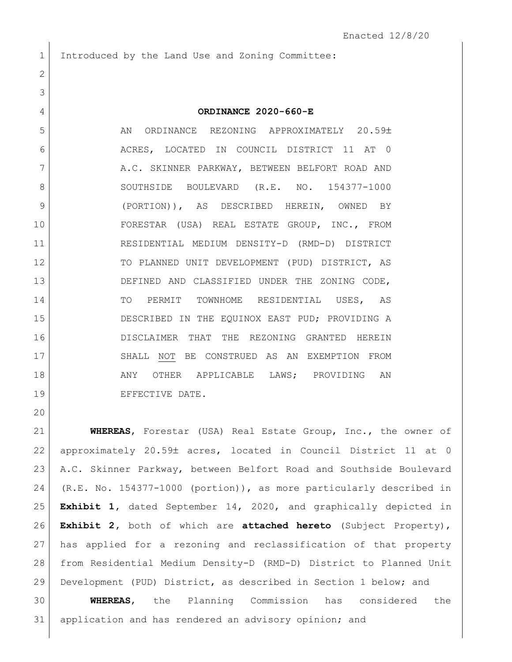Introduced by the Land Use and Zoning Committee:

| ORDINANCE 2020-660-E |
|----------------------|
|----------------------|

5 AN ORDINANCE REZONING APPROXIMATELY 20.59± ACRES, LOCATED IN COUNCIL DISTRICT 11 AT 0 7 A.C. SKINNER PARKWAY, BETWEEN BELFORT ROAD AND 8 SOUTHSIDE BOULEVARD (R.E. NO. 154377-1000 (PORTION)), AS DESCRIBED HEREIN, OWNED BY FORESTAR (USA) REAL ESTATE GROUP, INC., FROM RESIDENTIAL MEDIUM DENSITY-D (RMD-D) DISTRICT 12 TO PLANNED UNIT DEVELOPMENT (PUD) DISTRICT, AS DEFINED AND CLASSIFIED UNDER THE ZONING CODE, 14 TO PERMIT TOWNHOME RESIDENTIAL USES, AS 15 DESCRIBED IN THE EQUINOX EAST PUD; PROVIDING A DISCLAIMER THAT THE REZONING GRANTED HEREIN 17 SHALL NOT BE CONSTRUED AS AN EXEMPTION FROM 18 | ANY OTHER APPLICABLE LAWS; PROVIDING AN 19 EFFECTIVE DATE.

 **WHEREAS**, Forestar (USA) Real Estate Group, Inc., the owner of 22 approximately 20.59± acres, located in Council District 11 at 0 A.C. Skinner Parkway, between Belfort Road and Southside Boulevard (R.E. No. 154377-1000 (portion)), as more particularly described in **Exhibit 1,** dated September 14, 2020, and graphically depicted in **Exhibit 2,** both of which are **attached hereto** (Subject Property), has applied for a rezoning and reclassification of that property from Residential Medium Density-D (RMD-D) District to Planned Unit Development (PUD) District, as described in Section 1 below; and

 **WHEREAS**, the Planning Commission has considered the application and has rendered an advisory opinion; and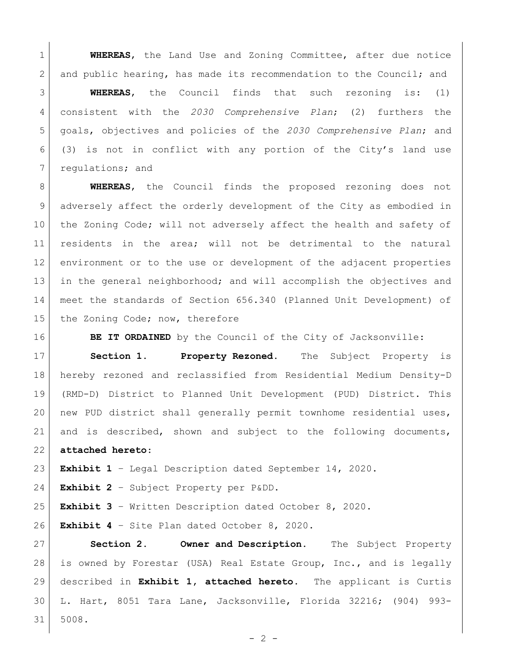**WHEREAS**, the Land Use and Zoning Committee, after due notice 2 and public hearing, has made its recommendation to the Council; and

 **WHEREAS**, the Council finds that such rezoning is: (1) consistent with the *2030 Comprehensive Plan*; (2) furthers the goals, objectives and policies of the *2030 Comprehensive Plan*; and (3) is not in conflict with any portion of the City's land use 7 regulations; and

 **WHEREAS**, the Council finds the proposed rezoning does not adversely affect the orderly development of the City as embodied in 10 the Zoning Code; will not adversely affect the health and safety of residents in the area; will not be detrimental to the natural environment or to the use or development of the adjacent properties in the general neighborhood; and will accomplish the objectives and meet the standards of Section 656.340 (Planned Unit Development) of 15 the Zoning Code; now, therefore

**BE IT ORDAINED** by the Council of the City of Jacksonville:

 **Section 1. Property Rezoned.** The Subject Property is hereby rezoned and reclassified from Residential Medium Density-D (RMD-D) District to Planned Unit Development (PUD) District. This 20 new PUD district shall generally permit townhome residential uses, and is described, shown and subject to the following documents,

**attached hereto**:

**Exhibit 1** – Legal Description dated September 14, 2020.

**Exhibit 2** – Subject Property per P&DD.

**Exhibit 3** – Written Description dated October 8, 2020.

**Exhibit 4** – Site Plan dated October 8, 2020.

 **Section 2. Owner and Description.** The Subject Property is owned by Forestar (USA) Real Estate Group, Inc., and is legally described in **Exhibit 1, attached hereto**. The applicant is Curtis L. Hart, 8051 Tara Lane, Jacksonville, Florida 32216; (904) 993- 5008.